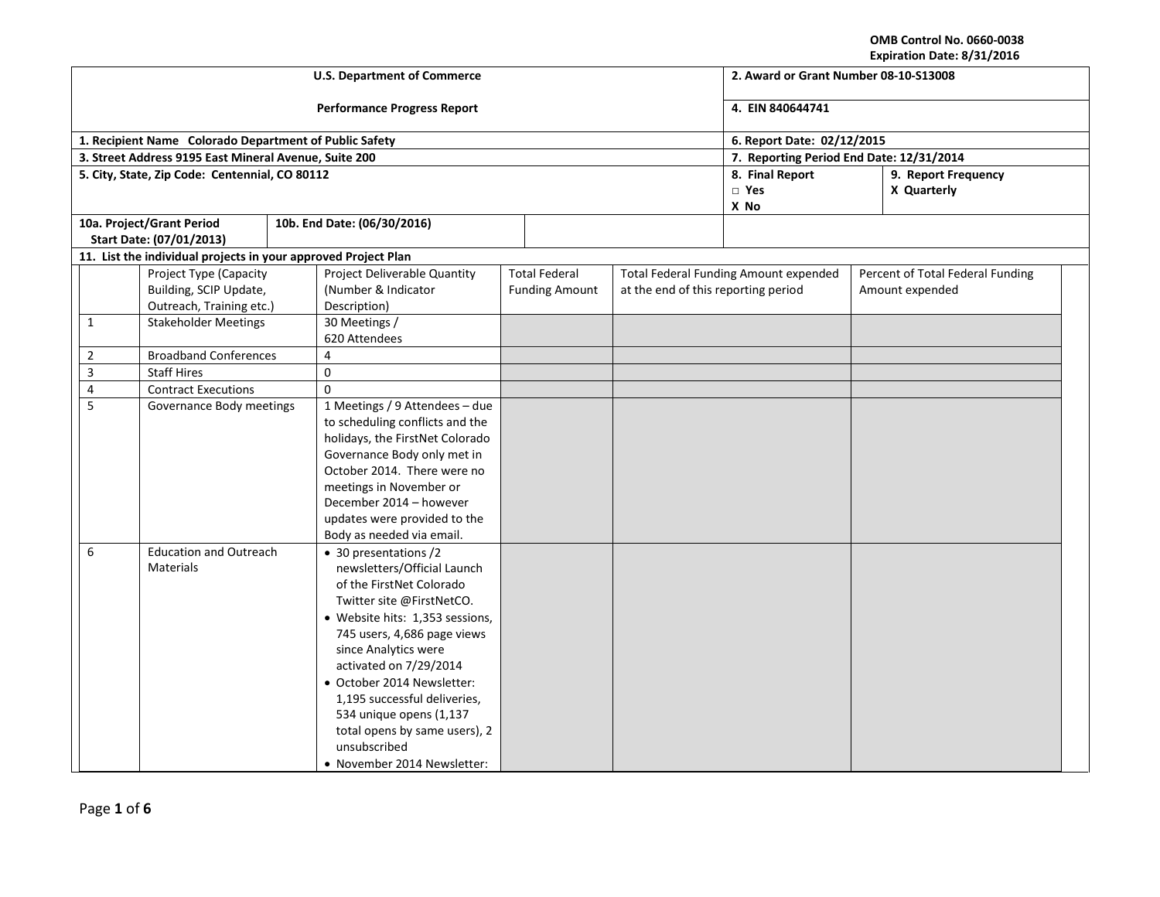**OMB Control No. 0660-0038**

| Expiration Date: 8/31/2016            |
|---------------------------------------|
| 2. Award or Grant Number 08-10-S13008 |
| 4. EIN 840644741                      |

| <b>U.S. Department of Commerce</b> |                |                                                                |                                                        |                                 |  |                       | 2. Award or Grant Number 08-10-S13008 |                                              |  |                                  |  |
|------------------------------------|----------------|----------------------------------------------------------------|--------------------------------------------------------|---------------------------------|--|-----------------------|---------------------------------------|----------------------------------------------|--|----------------------------------|--|
| <b>Performance Progress Report</b> |                |                                                                |                                                        |                                 |  |                       |                                       | 4. EIN 840644741                             |  |                                  |  |
|                                    |                |                                                                | 1. Recipient Name Colorado Department of Public Safety | 6. Report Date: 02/12/2015      |  |                       |                                       |                                              |  |                                  |  |
|                                    |                | 3. Street Address 9195 East Mineral Avenue, Suite 200          |                                                        |                                 |  |                       |                                       | 7. Reporting Period End Date: 12/31/2014     |  |                                  |  |
|                                    |                | 5. City, State, Zip Code: Centennial, CO 80112                 |                                                        |                                 |  |                       |                                       | 8. Final Report<br>9. Report Frequency       |  |                                  |  |
|                                    |                |                                                                |                                                        |                                 |  |                       |                                       | $\square$ Yes                                |  | X Quarterly                      |  |
|                                    |                |                                                                |                                                        |                                 |  |                       |                                       | X No                                         |  |                                  |  |
|                                    |                | 10a. Project/Grant Period                                      |                                                        | 10b. End Date: (06/30/2016)     |  |                       |                                       |                                              |  |                                  |  |
|                                    |                | Start Date: (07/01/2013)                                       |                                                        |                                 |  |                       |                                       |                                              |  |                                  |  |
|                                    |                | 11. List the individual projects in your approved Project Plan |                                                        |                                 |  |                       |                                       |                                              |  |                                  |  |
|                                    |                | Project Type (Capacity                                         |                                                        | Project Deliverable Quantity    |  | <b>Total Federal</b>  |                                       | <b>Total Federal Funding Amount expended</b> |  | Percent of Total Federal Funding |  |
|                                    |                | Building, SCIP Update,                                         |                                                        | (Number & Indicator             |  | <b>Funding Amount</b> | at the end of this reporting period   |                                              |  | Amount expended                  |  |
|                                    |                | Outreach, Training etc.)                                       |                                                        | Description)                    |  |                       |                                       |                                              |  |                                  |  |
|                                    | $\mathbf{1}$   | <b>Stakeholder Meetings</b>                                    |                                                        | 30 Meetings /                   |  |                       |                                       |                                              |  |                                  |  |
|                                    |                |                                                                |                                                        | 620 Attendees                   |  |                       |                                       |                                              |  |                                  |  |
|                                    | $\overline{2}$ | <b>Broadband Conferences</b>                                   |                                                        | 4                               |  |                       |                                       |                                              |  |                                  |  |
|                                    | $\overline{3}$ | <b>Staff Hires</b>                                             |                                                        | $\boldsymbol{0}$                |  |                       |                                       |                                              |  |                                  |  |
|                                    | $\overline{4}$ | <b>Contract Executions</b>                                     |                                                        | $\mathbf 0$                     |  |                       |                                       |                                              |  |                                  |  |
|                                    | 5              | Governance Body meetings                                       |                                                        | 1 Meetings / 9 Attendees - due  |  |                       |                                       |                                              |  |                                  |  |
|                                    |                |                                                                |                                                        | to scheduling conflicts and the |  |                       |                                       |                                              |  |                                  |  |
|                                    |                |                                                                |                                                        | holidays, the FirstNet Colorado |  |                       |                                       |                                              |  |                                  |  |
|                                    |                |                                                                |                                                        | Governance Body only met in     |  |                       |                                       |                                              |  |                                  |  |
|                                    |                |                                                                |                                                        | October 2014. There were no     |  |                       |                                       |                                              |  |                                  |  |
|                                    |                |                                                                |                                                        | meetings in November or         |  |                       |                                       |                                              |  |                                  |  |
|                                    |                |                                                                |                                                        | December 2014 - however         |  |                       |                                       |                                              |  |                                  |  |
|                                    |                | updates were provided to the                                   |                                                        |                                 |  |                       |                                       |                                              |  |                                  |  |
|                                    |                |                                                                |                                                        | Body as needed via email.       |  |                       |                                       |                                              |  |                                  |  |
|                                    | 6              | <b>Education and Outreach</b>                                  |                                                        | • 30 presentations /2           |  |                       |                                       |                                              |  |                                  |  |
|                                    |                | <b>Materials</b>                                               |                                                        | newsletters/Official Launch     |  |                       |                                       |                                              |  |                                  |  |
|                                    |                |                                                                |                                                        | of the FirstNet Colorado        |  |                       |                                       |                                              |  |                                  |  |
|                                    |                |                                                                |                                                        | Twitter site @FirstNetCO.       |  |                       |                                       |                                              |  |                                  |  |
|                                    |                |                                                                |                                                        | • Website hits: 1,353 sessions, |  |                       |                                       |                                              |  |                                  |  |
|                                    |                |                                                                |                                                        | 745 users, 4,686 page views     |  |                       |                                       |                                              |  |                                  |  |
|                                    |                |                                                                |                                                        | since Analytics were            |  |                       |                                       |                                              |  |                                  |  |
|                                    |                |                                                                |                                                        | activated on 7/29/2014          |  |                       |                                       |                                              |  |                                  |  |
|                                    |                |                                                                |                                                        | · October 2014 Newsletter:      |  |                       |                                       |                                              |  |                                  |  |
|                                    |                |                                                                |                                                        | 1,195 successful deliveries,    |  |                       |                                       |                                              |  |                                  |  |
|                                    |                |                                                                |                                                        | 534 unique opens (1,137         |  |                       |                                       |                                              |  |                                  |  |
|                                    |                |                                                                |                                                        | total opens by same users), 2   |  |                       |                                       |                                              |  |                                  |  |
|                                    |                |                                                                |                                                        | unsubscribed                    |  |                       |                                       |                                              |  |                                  |  |
|                                    |                |                                                                |                                                        | • November 2014 Newsletter:     |  |                       |                                       |                                              |  |                                  |  |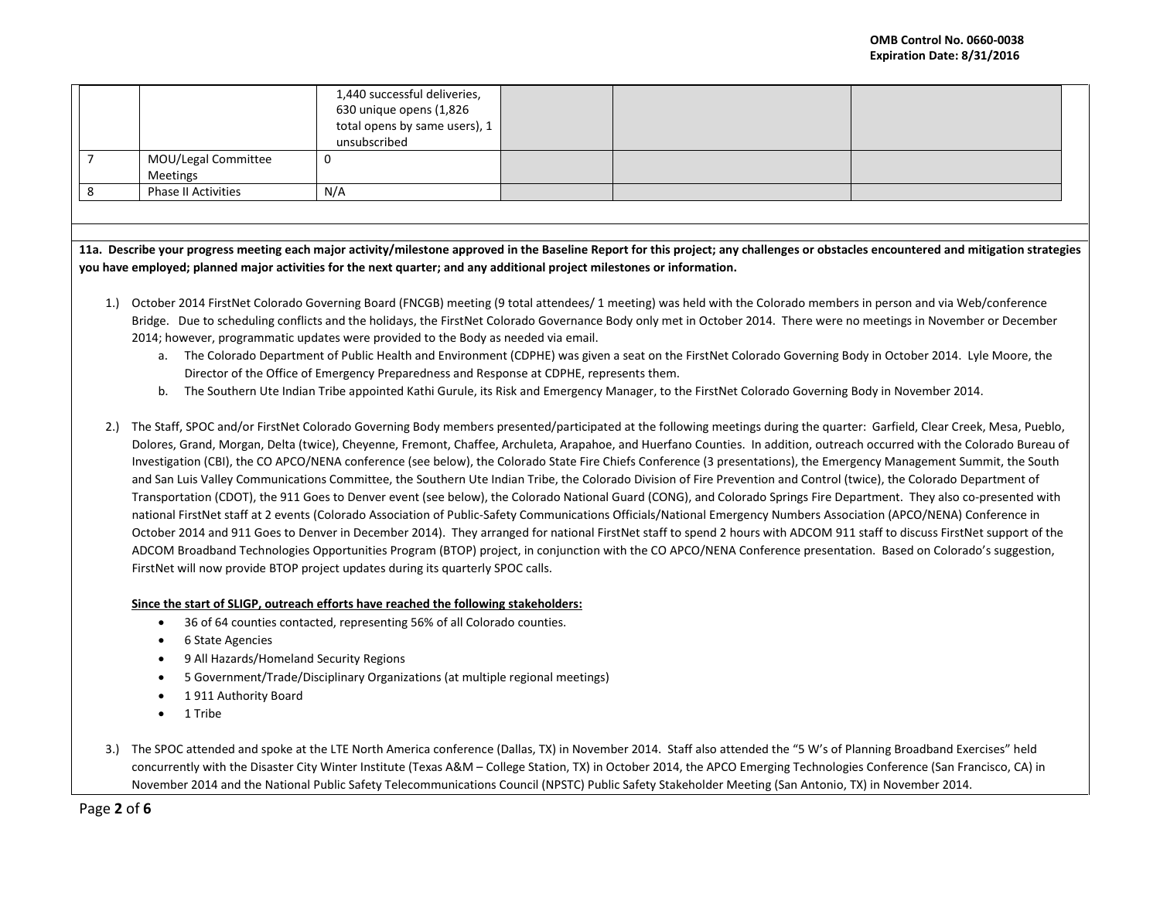|                |                                                                                                                                                                           | 1,440 successful deliveries,                                                                                            |  |                                                                                                                                                                           |                                                                                                                                                                                       |  |  |  |
|----------------|---------------------------------------------------------------------------------------------------------------------------------------------------------------------------|-------------------------------------------------------------------------------------------------------------------------|--|---------------------------------------------------------------------------------------------------------------------------------------------------------------------------|---------------------------------------------------------------------------------------------------------------------------------------------------------------------------------------|--|--|--|
|                |                                                                                                                                                                           | 630 unique opens (1,826                                                                                                 |  |                                                                                                                                                                           |                                                                                                                                                                                       |  |  |  |
|                |                                                                                                                                                                           | total opens by same users), 1                                                                                           |  |                                                                                                                                                                           |                                                                                                                                                                                       |  |  |  |
|                |                                                                                                                                                                           | unsubscribed                                                                                                            |  |                                                                                                                                                                           |                                                                                                                                                                                       |  |  |  |
| $\overline{7}$ | MOU/Legal Committee                                                                                                                                                       | $\Omega$                                                                                                                |  |                                                                                                                                                                           |                                                                                                                                                                                       |  |  |  |
|                | <b>Meetings</b>                                                                                                                                                           |                                                                                                                         |  |                                                                                                                                                                           |                                                                                                                                                                                       |  |  |  |
| 8              | <b>Phase II Activities</b>                                                                                                                                                | N/A                                                                                                                     |  |                                                                                                                                                                           |                                                                                                                                                                                       |  |  |  |
|                |                                                                                                                                                                           |                                                                                                                         |  |                                                                                                                                                                           |                                                                                                                                                                                       |  |  |  |
|                |                                                                                                                                                                           |                                                                                                                         |  |                                                                                                                                                                           |                                                                                                                                                                                       |  |  |  |
|                |                                                                                                                                                                           |                                                                                                                         |  |                                                                                                                                                                           |                                                                                                                                                                                       |  |  |  |
|                |                                                                                                                                                                           |                                                                                                                         |  |                                                                                                                                                                           | 11a. Describe your progress meeting each major activity/milestone approved in the Baseline Report for this project; any challenges or obstacles encountered and mitigation strategies |  |  |  |
|                |                                                                                                                                                                           | you have employed; planned major activities for the next quarter; and any additional project milestones or information. |  |                                                                                                                                                                           |                                                                                                                                                                                       |  |  |  |
|                |                                                                                                                                                                           |                                                                                                                         |  |                                                                                                                                                                           |                                                                                                                                                                                       |  |  |  |
| 1.             |                                                                                                                                                                           |                                                                                                                         |  | October 2014 FirstNet Colorado Governing Board (FNCGB) meeting (9 total attendees/ 1 meeting) was held with the Colorado members in person and via Web/conference         |                                                                                                                                                                                       |  |  |  |
|                | Bridge. Due to scheduling conflicts and the holidays, the FirstNet Colorado Governance Body only met in October 2014. There were no meetings in November or December      |                                                                                                                         |  |                                                                                                                                                                           |                                                                                                                                                                                       |  |  |  |
|                | 2014; however, programmatic updates were provided to the Body as needed via email.                                                                                        |                                                                                                                         |  |                                                                                                                                                                           |                                                                                                                                                                                       |  |  |  |
|                |                                                                                                                                                                           |                                                                                                                         |  |                                                                                                                                                                           |                                                                                                                                                                                       |  |  |  |
|                | The Colorado Department of Public Health and Environment (CDPHE) was given a seat on the FirstNet Colorado Governing Body in October 2014. Lyle Moore, the<br>a.          |                                                                                                                         |  |                                                                                                                                                                           |                                                                                                                                                                                       |  |  |  |
|                | Director of the Office of Emergency Preparedness and Response at CDPHE, represents them.                                                                                  |                                                                                                                         |  |                                                                                                                                                                           |                                                                                                                                                                                       |  |  |  |
|                | The Southern Ute Indian Tribe appointed Kathi Gurule, its Risk and Emergency Manager, to the FirstNet Colorado Governing Body in November 2014.<br>b.                     |                                                                                                                         |  |                                                                                                                                                                           |                                                                                                                                                                                       |  |  |  |
|                |                                                                                                                                                                           |                                                                                                                         |  |                                                                                                                                                                           |                                                                                                                                                                                       |  |  |  |
| 2.             | The Staff, SPOC and/or FirstNet Colorado Governing Body members presented/participated at the following meetings during the quarter: Garfield, Clear Creek, Mesa, Pueblo, |                                                                                                                         |  |                                                                                                                                                                           |                                                                                                                                                                                       |  |  |  |
|                |                                                                                                                                                                           |                                                                                                                         |  |                                                                                                                                                                           | Dolores, Grand, Morgan, Delta (twice), Cheyenne, Fremont, Chaffee, Archuleta, Arapahoe, and Huerfano Counties. In addition, outreach occurred with the Colorado Bureau of             |  |  |  |
|                | Investigation (CBI), the CO APCO/NENA conference (see below), the Colorado State Fire Chiefs Conference (3 presentations), the Emergency Management Summit, the South     |                                                                                                                         |  |                                                                                                                                                                           |                                                                                                                                                                                       |  |  |  |
|                | and San Luis Valley Communications Committee, the Southern Ute Indian Tribe, the Colorado Division of Fire Prevention and Control (twice), the Colorado Department of     |                                                                                                                         |  |                                                                                                                                                                           |                                                                                                                                                                                       |  |  |  |
|                |                                                                                                                                                                           |                                                                                                                         |  | Transportation (CDOT), the 911 Goes to Denver event (see below), the Colorado National Guard (CONG), and Colorado Springs Fire Department. They also co-presented with    |                                                                                                                                                                                       |  |  |  |
|                |                                                                                                                                                                           |                                                                                                                         |  | national FirstNet staff at 2 events (Colorado Association of Public-Safety Communications Officials/National Emergency Numbers Association (APCO/NENA) Conference in      |                                                                                                                                                                                       |  |  |  |
|                |                                                                                                                                                                           |                                                                                                                         |  |                                                                                                                                                                           |                                                                                                                                                                                       |  |  |  |
|                |                                                                                                                                                                           |                                                                                                                         |  | October 2014 and 911 Goes to Denver in December 2014). They arranged for national FirstNet staff to spend 2 hours with ADCOM 911 staff to discuss FirstNet support of the |                                                                                                                                                                                       |  |  |  |
|                | ADCOM Broadband Technologies Opportunities Program (BTOP) project, in conjunction with the CO APCO/NENA Conference presentation. Based on Colorado's suggestion,          |                                                                                                                         |  |                                                                                                                                                                           |                                                                                                                                                                                       |  |  |  |
|                | FirstNet will now provide BTOP project updates during its quarterly SPOC calls.                                                                                           |                                                                                                                         |  |                                                                                                                                                                           |                                                                                                                                                                                       |  |  |  |

# **Since the start of SLIGP, outreach efforts have reached the following stakeholders:**

- 36 of 64 counties contacted, representing 56% of all Colorado counties.
- 6 State Agencies
- 9 All Hazards/Homeland Security Regions
- 5 Government/Trade/Disciplinary Organizations (at multiple regional meetings)
- 1 911 Authority Board
- 1 Tribe
- 3.) The SPOC attended and spoke at the LTE North America conference (Dallas, TX) in November 2014. Staff also attended the "5 W's of Planning Broadband Exercises" held concurrently with the Disaster City Winter Institute (Texas A&M – College Station, TX) in October 2014, the APCO Emerging Technologies Conference (San Francisco, CA) in November 2014 and the National Public Safety Telecommunications Council (NPSTC) Public Safety Stakeholder Meeting (San Antonio, TX) in November 2014.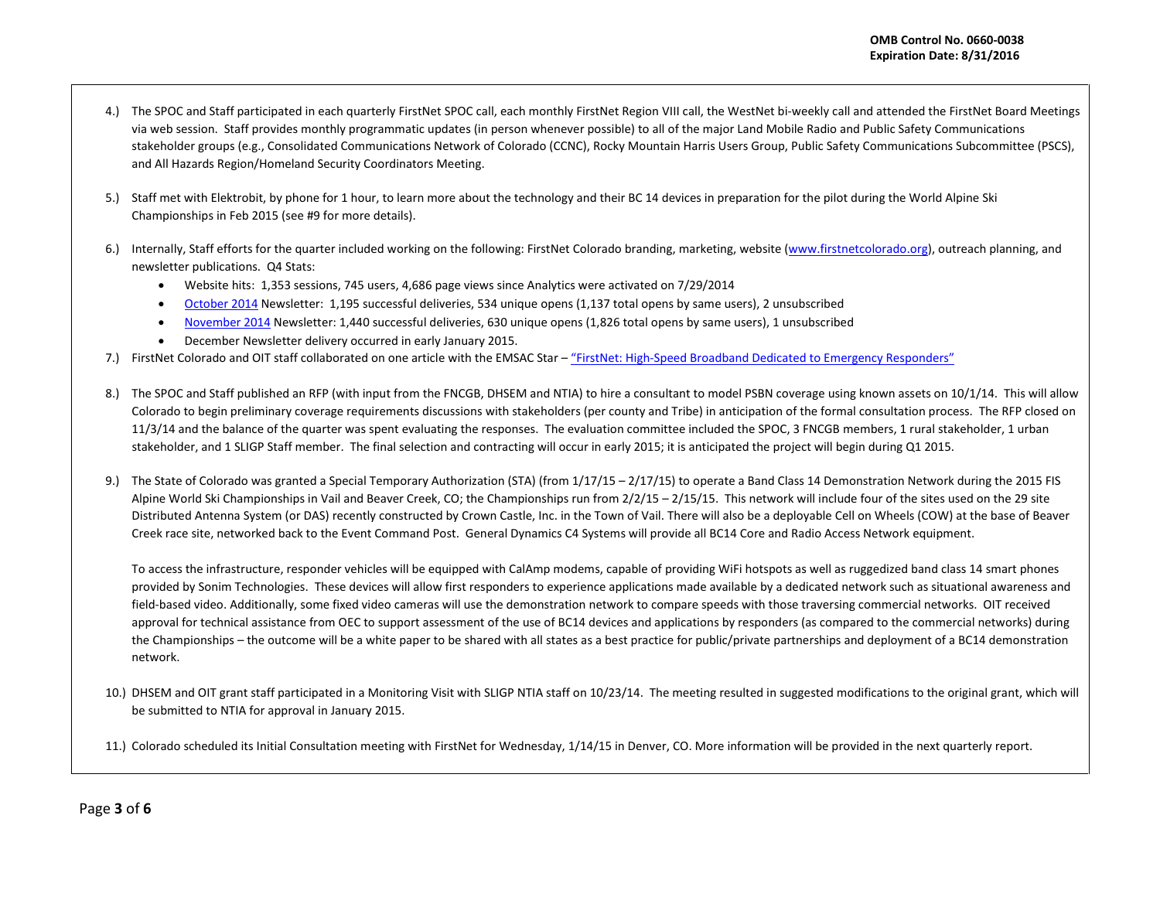- 4.) The SPOC and Staff participated in each quarterly FirstNet SPOC call, each monthly FirstNet Region VIII call, the WestNet bi-weekly call and attended the FirstNet Board Meetings via web session. Staff provides monthly programmatic updates (in person whenever possible) to all of the major Land Mobile Radio and Public Safety Communications stakeholder groups (e.g., Consolidated Communications Network of Colorado (CCNC), Rocky Mountain Harris Users Group, Public Safety Communications Subcommittee (PSCS), and All Hazards Region/Homeland Security Coordinators Meeting.
- 5.) Staff met with Elektrobit, by phone for 1 hour, to learn more about the technology and their BC 14 devices in preparation for the pilot during the World Alpine Ski Championships in Feb 2015 (see #9 for more details).
- 6.) Internally, Staff efforts for the quarter included working on the following: FirstNet Colorado branding, marketing, website [\(www.firstnetcolorado.org\)](http://www.firstnetcolorado.org/), outreach planning, and newsletter publications. Q4 Stats:
	- Website hits: 1,353 sessions, 745 users, 4,686 page views since Analytics were activated on 7/29/2014
	- [October 2014](http://us8.campaign-archive2.com/?u=ad8d63576316029bf9e801fe4&id=a1ebf50ba2&e=8b22f4e476) Newsletter: 1,195 successful deliveries, 534 unique opens (1,137 total opens by same users), 2 unsubscribed
	- [November 2014](http://us8.campaign-archive2.com/?u=ad8d63576316029bf9e801fe4&id=88a672809a&e=8b22f4e476) Newsletter: 1,440 successful deliveries, 630 unique opens (1,826 total opens by same users), 1 unsubscribed
	- December Newsletter delivery occurred in early January 2015.
- 7.) FirstNet Colorado and OIT staff collaborated on one article with the EMSAC Star ["FirstNet: High-Speed Broadband Dedicated to Emergency Responders"](http://www.emsac.org/images/stories/2014_sept_oct_emsac_star.pdf)
- 8.) The SPOC and Staff published an RFP (with input from the FNCGB, DHSEM and NTIA) to hire a consultant to model PSBN coverage using known assets on 10/1/14. This will allow Colorado to begin preliminary coverage requirements discussions with stakeholders (per county and Tribe) in anticipation of the formal consultation process. The RFP closed on 11/3/14 and the balance of the quarter was spent evaluating the responses. The evaluation committee included the SPOC, 3 FNCGB members, 1 rural stakeholder, 1 urban stakeholder, and 1 SLIGP Staff member. The final selection and contracting will occur in early 2015; it is anticipated the project will begin during Q1 2015.
- 9.) The State of Colorado was granted a Special Temporary Authorization (STA) (from  $1/17/15 2/17/15$ ) to operate a Band Class 14 Demonstration Network during the 2015 FIS Alpine World Ski Championships in Vail and Beaver Creek, CO; the Championships run from  $2/2/15 - 2/15/15$ . This network will include four of the sites used on the 29 site Distributed Antenna System (or DAS) recently constructed by Crown Castle, Inc. in the Town of Vail. There will also be a deployable Cell on Wheels (COW) at the base of Beaver Creek race site, networked back to the Event Command Post. General Dynamics C4 Systems will provide all BC14 Core and Radio Access Network equipment.

To access the infrastructure, responder vehicles will be equipped with CalAmp modems, capable of providing WiFi hotspots as well as ruggedized band class 14 smart phones provided by Sonim Technologies. These devices will allow first responders to experience applications made available by a dedicated network such as situational awareness and field-based video. Additionally, some fixed video cameras will use the demonstration network to compare speeds with those traversing commercial networks. OIT received approval for technical assistance from OEC to support assessment of the use of BC14 devices and applications by responders (as compared to the commercial networks) during the Championships – the outcome will be a white paper to be shared with all states as a best practice for public/private partnerships and deployment of a BC14 demonstration network.

- 10.) DHSEM and OIT grant staff participated in a Monitoring Visit with SLIGP NTIA staff on 10/23/14. The meeting resulted in suggested modifications to the original grant, which will be submitted to NTIA for approval in January 2015.
- 11.) Colorado scheduled its Initial Consultation meeting with FirstNet for Wednesday, 1/14/15 in Denver, CO. More information will be provided in the next quarterly report.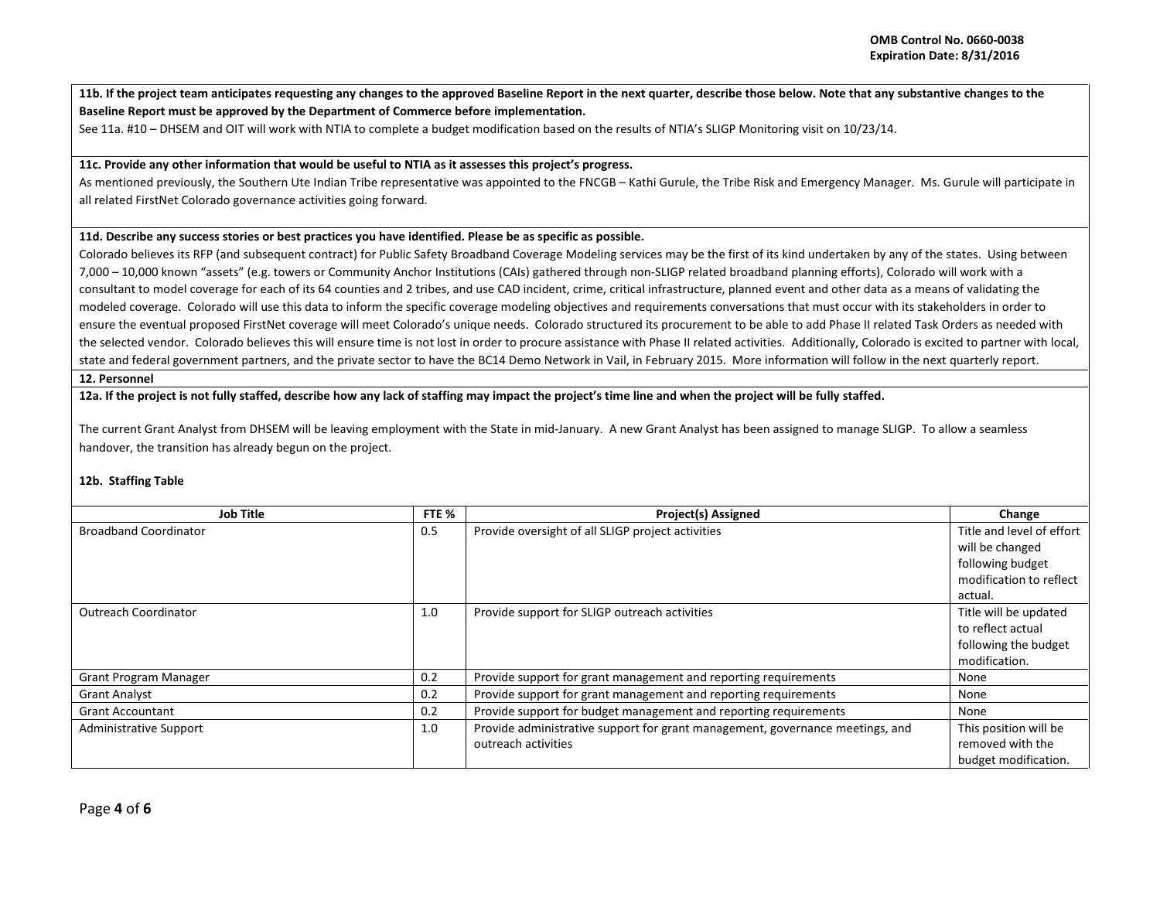**11b. If the project team anticipates requesting any changes to the approved Baseline Report in the next quarter, describe those below. Note that any substantive changes to the Baseline Report must be approved by the Department of Commerce before implementation.** 

See 11a. #10 – DHSEM and OIT will work with NTIA to complete a budget modification based on the results of NTIA's SLIGP Monitoring visit on 10/23/14.

### **11c. Provide any other information that would be useful to NTIA as it assesses this project's progress.**

As mentioned previously, the Southern Ute Indian Tribe representative was appointed to the FNCGB – Kathi Gurule, the Tribe Risk and Emergency Manager. Ms. Gurule will participate in all related FirstNet Colorado governance activities going forward.

# **11d. Describe any success stories or best practices you have identified. Please be as specific as possible.**

Colorado believes its RFP (and subsequent contract) for Public Safety Broadband Coverage Modeling services may be the first of its kind undertaken by any of the states. Using between 7,000 – 10,000 known "assets" (e.g. towers or Community Anchor Institutions (CAIs) gathered through non-SLIGP related broadband planning efforts), Colorado will work with a consultant to model coverage for each of its 64 counties and 2 tribes, and use CAD incident, crime, critical infrastructure, planned event and other data as a means of validating the modeled coverage. Colorado will use this data to inform the specific coverage modeling objectives and requirements conversations that must occur with its stakeholders in order to ensure the eventual proposed FirstNet coverage will meet Colorado's unique needs. Colorado structured its procurement to be able to add Phase II related Task Orders as needed with the selected vendor. Colorado believes this will ensure time is not lost in order to procure assistance with Phase II related activities. Additionally, Colorado is excited to partner with local, state and federal government partners, and the private sector to have the BC14 Demo Network in Vail, in February 2015. More information will follow in the next quarterly report.

### **12. Personnel**

**12a. If the project is not fully staffed, describe how any lack of staffing may impact the project's time line and when the project will be fully staffed.** 

The current Grant Analyst from DHSEM will be leaving employment with the State in mid-January. A new Grant Analyst has been assigned to manage SLIGP. To allow a seamless handover, the transition has already begun on the project.

# **12b. Staffing Table**

| <b>Job Title</b>              | FTE % | <b>Project(s) Assigned</b>                                                    | Change                    |
|-------------------------------|-------|-------------------------------------------------------------------------------|---------------------------|
| <b>Broadband Coordinator</b>  | 0.5   | Provide oversight of all SLIGP project activities                             | Title and level of effort |
|                               |       |                                                                               | will be changed           |
|                               |       |                                                                               | following budget          |
|                               |       |                                                                               | modification to reflect   |
|                               |       |                                                                               | actual.                   |
| <b>Outreach Coordinator</b>   | 1.0   | Provide support for SLIGP outreach activities                                 | Title will be updated     |
|                               |       |                                                                               | to reflect actual         |
|                               |       |                                                                               | following the budget      |
|                               |       |                                                                               | modification.             |
| <b>Grant Program Manager</b>  | 0.2   | Provide support for grant management and reporting requirements               | None                      |
| <b>Grant Analyst</b>          | 0.2   | Provide support for grant management and reporting requirements               | None                      |
| <b>Grant Accountant</b>       | 0.2   | Provide support for budget management and reporting requirements              | None                      |
| <b>Administrative Support</b> | 1.0   | Provide administrative support for grant management, governance meetings, and | This position will be     |
|                               |       | outreach activities                                                           | removed with the          |
|                               |       |                                                                               | budget modification.      |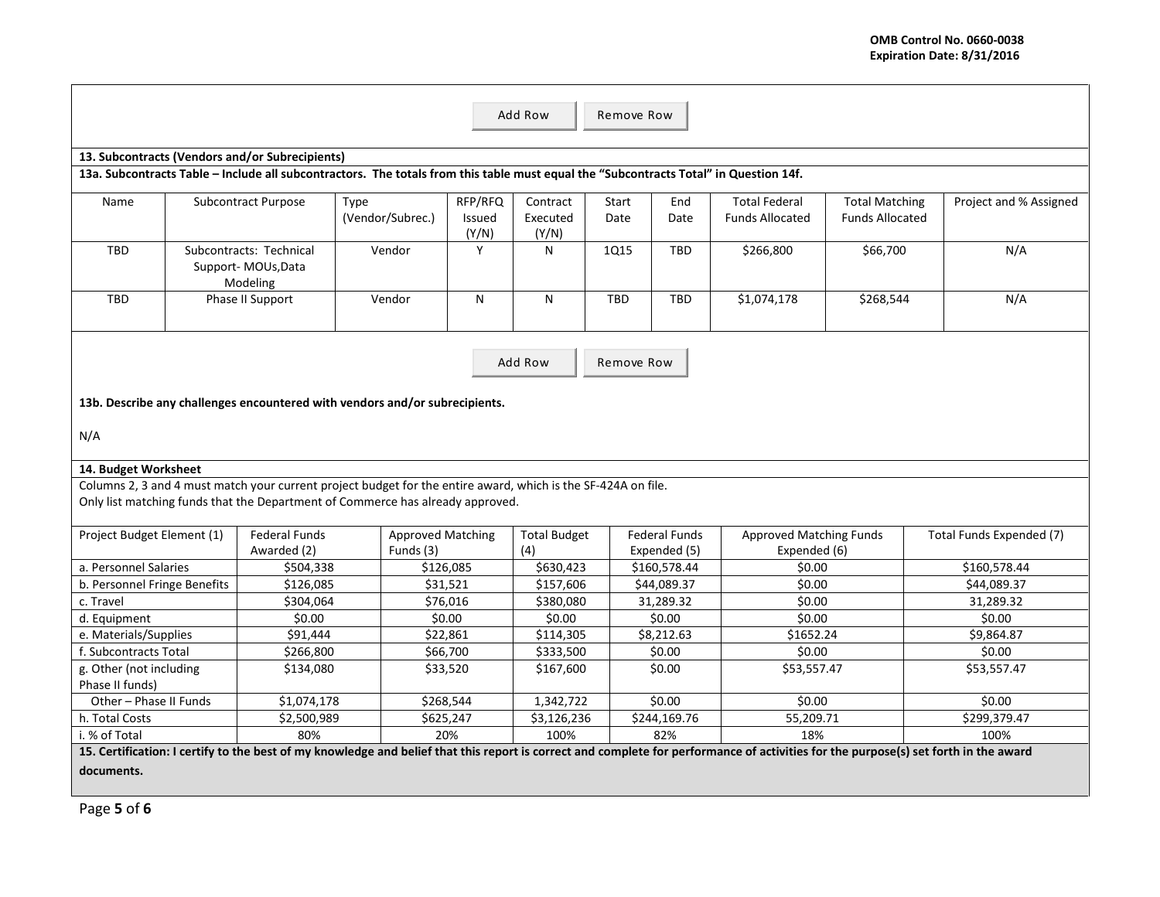| Add Row<br>Remove Row                                                                                                                                                                |                                                           |                      |                                                                                                                                       |                            |                               |               |                      |                                                |                                                 |                          |  |
|--------------------------------------------------------------------------------------------------------------------------------------------------------------------------------------|-----------------------------------------------------------|----------------------|---------------------------------------------------------------------------------------------------------------------------------------|----------------------------|-------------------------------|---------------|----------------------|------------------------------------------------|-------------------------------------------------|--------------------------|--|
|                                                                                                                                                                                      | 13. Subcontracts (Vendors and/or Subrecipients)           |                      |                                                                                                                                       |                            |                               |               |                      |                                                |                                                 |                          |  |
|                                                                                                                                                                                      |                                                           |                      | 13a. Subcontracts Table - Include all subcontractors. The totals from this table must equal the "Subcontracts Total" in Question 14f. |                            |                               |               |                      |                                                |                                                 |                          |  |
| Name                                                                                                                                                                                 |                                                           | Subcontract Purpose  | Type<br>(Vendor/Subrec.)                                                                                                              | RFP/RFQ<br>Issued<br>(Y/N) | Contract<br>Executed<br>(Y/N) | Start<br>Date | End<br>Date          | <b>Total Federal</b><br><b>Funds Allocated</b> | <b>Total Matching</b><br><b>Funds Allocated</b> | Project and % Assigned   |  |
| <b>TBD</b>                                                                                                                                                                           | Subcontracts: Technical<br>Support-MOUs, Data<br>Modeling |                      | Vendor                                                                                                                                | Y                          | N                             | <b>1Q15</b>   | <b>TBD</b>           | \$266,800                                      | \$66,700                                        | N/A                      |  |
| <b>TBD</b>                                                                                                                                                                           |                                                           | Phase II Support     | Vendor                                                                                                                                | N                          | N                             | <b>TBD</b>    | TBD                  | \$1,074,178                                    | \$268,544                                       | N/A                      |  |
|                                                                                                                                                                                      |                                                           |                      |                                                                                                                                       |                            |                               |               |                      |                                                |                                                 |                          |  |
|                                                                                                                                                                                      |                                                           |                      |                                                                                                                                       |                            | Add Row                       | Remove Row    |                      |                                                |                                                 |                          |  |
|                                                                                                                                                                                      |                                                           |                      | 13b. Describe any challenges encountered with vendors and/or subrecipients.                                                           |                            |                               |               |                      |                                                |                                                 |                          |  |
| N/A                                                                                                                                                                                  |                                                           |                      |                                                                                                                                       |                            |                               |               |                      |                                                |                                                 |                          |  |
|                                                                                                                                                                                      | 14. Budget Worksheet                                      |                      |                                                                                                                                       |                            |                               |               |                      |                                                |                                                 |                          |  |
|                                                                                                                                                                                      |                                                           |                      | Columns 2, 3 and 4 must match your current project budget for the entire award, which is the SF-424A on file.                         |                            |                               |               |                      |                                                |                                                 |                          |  |
|                                                                                                                                                                                      |                                                           |                      | Only list matching funds that the Department of Commerce has already approved.                                                        |                            |                               |               |                      |                                                |                                                 |                          |  |
| Project Budget Element (1)                                                                                                                                                           |                                                           | <b>Federal Funds</b> | <b>Approved Matching</b>                                                                                                              |                            | <b>Total Budget</b>           |               | <b>Federal Funds</b> | <b>Approved Matching Funds</b>                 |                                                 | Total Funds Expended (7) |  |
|                                                                                                                                                                                      |                                                           | Awarded (2)          | Funds (3)                                                                                                                             |                            |                               |               | Expended (5)         | Expended (6)                                   |                                                 |                          |  |
| a. Personnel Salaries<br>\$504,338                                                                                                                                                   |                                                           |                      | \$126,085                                                                                                                             |                            |                               | \$160,578.44  | \$0.00               |                                                | \$160,578.44                                    |                          |  |
| b. Personnel Fringe Benefits<br>\$126,085                                                                                                                                            |                                                           |                      | \$31,521                                                                                                                              |                            |                               | \$44,089.37   | \$0.00               |                                                | \$44,089.37                                     |                          |  |
| \$304,064<br>c. Travel                                                                                                                                                               |                                                           |                      | \$76,016                                                                                                                              | \$380,080                  |                               | 31,289.32     | \$0.00               |                                                | 31,289.32                                       |                          |  |
| \$0.00<br>d. Equipment                                                                                                                                                               |                                                           |                      | \$0.00                                                                                                                                | \$0.00                     |                               | \$0.00        | \$0.00               |                                                | \$0.00                                          |                          |  |
| e. Materials/Supplies                                                                                                                                                                |                                                           | \$91,444             |                                                                                                                                       | \$22,861                   | \$114,305                     |               | \$8,212.63           | \$1652.24                                      |                                                 | \$9,864.87               |  |
| f. Subcontracts Total                                                                                                                                                                |                                                           | \$266,800            |                                                                                                                                       | \$66,700                   | \$333,500                     |               | \$0.00               | \$0.00                                         |                                                 | \$0.00                   |  |
| g. Other (not including                                                                                                                                                              |                                                           | \$134,080            |                                                                                                                                       | \$33,520                   | \$167,600                     |               | \$0.00               | \$53,557.47                                    |                                                 | \$53,557.47              |  |
| Phase II funds)                                                                                                                                                                      |                                                           |                      |                                                                                                                                       |                            |                               |               |                      |                                                |                                                 |                          |  |
| Other - Phase II Funds                                                                                                                                                               |                                                           | \$1,074,178          |                                                                                                                                       | \$268,544                  | 1,342,722                     |               | \$0.00               | \$0.00                                         |                                                 | \$0.00                   |  |
| h. Total Costs                                                                                                                                                                       |                                                           | \$2,500,989          |                                                                                                                                       | \$625,247                  | \$3,126,236                   |               | \$244,169.76         | 55,209.71                                      |                                                 | \$299,379.47             |  |
| i. % of Total                                                                                                                                                                        |                                                           | 80%                  |                                                                                                                                       | 20%                        | 100%                          |               | 82%                  | 18%                                            |                                                 | 100%                     |  |
| 15. Certification: I certify to the best of my knowledge and belief that this report is correct and complete for performance of activities for the purpose(s) set forth in the award |                                                           |                      |                                                                                                                                       |                            |                               |               |                      |                                                |                                                 |                          |  |

**documents.**